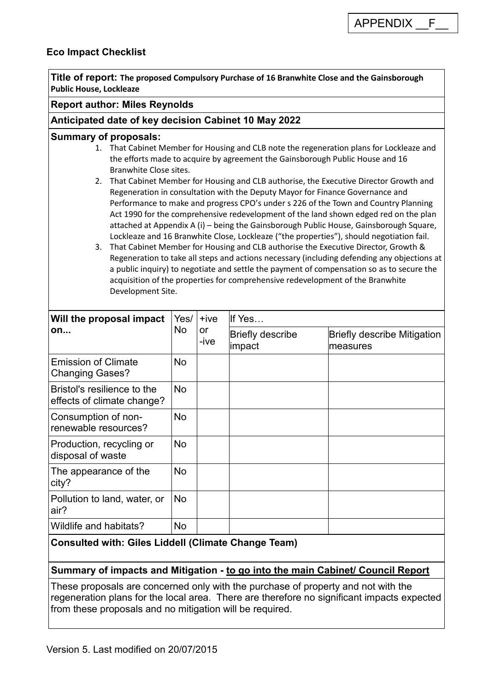# **Eco Impact Checklist**

**Title of report: The proposed Compulsory Purchase of 16 Branwhite Close and the Gainsborough Public House, Lockleaze**

## **Report author: Miles Reynolds**

## **Anticipated date of key decision Cabinet 10 May 2022**

#### **Summary of proposals:**

- 1. That Cabinet Member for Housing and CLB note the regeneration plans for Lockleaze and the efforts made to acquire by agreement the Gainsborough Public House and 16 Branwhite Close sites.
- 2. That Cabinet Member for Housing and CLB authorise, the Executive Director Growth and Regeneration in consultation with the Deputy Mayor for Finance Governance and Performance to make and progress CPO's under s 226 of the Town and Country Planning Act 1990 for the comprehensive redevelopment of the land shown edged red on the plan attached at Appendix A (i) – being the Gainsborough Public House, Gainsborough Square, Lockleaze and 16 Branwhite Close, Lockleaze ("the properties"), should negotiation fail.
- 3. That Cabinet Member for Housing and CLB authorise the Executive Director, Growth & Regeneration to take all steps and actions necessary (including defending any objections at a public inquiry) to negotiate and settle the payment of compensation so as to secure the acquisition of the properties for comprehensive redevelopment of the Branwhite Development Site.

| Will the proposal impact<br>on                            | Yes/<br><b>No</b> | $+ive$<br>or<br>-ive | If Yes                            |                                                |  |  |
|-----------------------------------------------------------|-------------------|----------------------|-----------------------------------|------------------------------------------------|--|--|
|                                                           |                   |                      | <b>Briefly describe</b><br>impact | <b>Briefly describe Mitigation</b><br>measures |  |  |
| <b>Emission of Climate</b><br><b>Changing Gases?</b>      | <b>No</b>         |                      |                                   |                                                |  |  |
| Bristol's resilience to the<br>effects of climate change? | <b>No</b>         |                      |                                   |                                                |  |  |
| Consumption of non-<br>renewable resources?               | <b>No</b>         |                      |                                   |                                                |  |  |
| Production, recycling or<br>disposal of waste             | <b>No</b>         |                      |                                   |                                                |  |  |
| The appearance of the<br>city?                            | <b>No</b>         |                      |                                   |                                                |  |  |
| Pollution to land, water, or<br>air?                      | No                |                      |                                   |                                                |  |  |
| Wildlife and habitats?                                    | No                |                      |                                   |                                                |  |  |

## **Consulted with: Giles Liddell (Climate Change Team)**

## **Summary of impacts and Mitigation - to go into the main Cabinet/ Council Report**

These proposals are concerned only with the purchase of property and not with the regeneration plans for the local area. There are therefore no significant impacts expected from these proposals and no mitigation will be required.